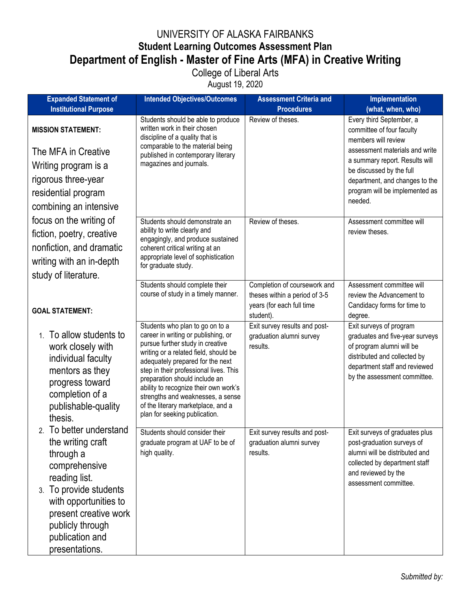## UNIVERSITY OF ALASKA FAIRBANKS **Student Learning Outcomes Assessment Plan Department of English - Master of Fine Arts (MFA) in Creative Writing** College of Liberal Arts

August 19, 2020

| <b>Expanded Statement of</b>                                                                                                                                                 | <b>Intended Objectives/Outcomes</b>                                                                                                                                                                                                                                                                                                                                                                                     | <b>Assessment Criteria and</b>                                        | Implementation                                                                                                                                                                           |
|------------------------------------------------------------------------------------------------------------------------------------------------------------------------------|-------------------------------------------------------------------------------------------------------------------------------------------------------------------------------------------------------------------------------------------------------------------------------------------------------------------------------------------------------------------------------------------------------------------------|-----------------------------------------------------------------------|------------------------------------------------------------------------------------------------------------------------------------------------------------------------------------------|
| <b>Institutional Purpose</b>                                                                                                                                                 |                                                                                                                                                                                                                                                                                                                                                                                                                         | <b>Procedures</b>                                                     | (what, when, who)                                                                                                                                                                        |
| <b>MISSION STATEMENT:</b>                                                                                                                                                    | Students should be able to produce<br>written work in their chosen<br>discipline of a quality that is                                                                                                                                                                                                                                                                                                                   | Review of theses.                                                     | Every third September, a<br>committee of four faculty<br>members will review                                                                                                             |
| The MFA in Creative                                                                                                                                                          | comparable to the material being<br>published in contemporary literary<br>magazines and journals.                                                                                                                                                                                                                                                                                                                       |                                                                       | assessment materials and write<br>a summary report. Results will                                                                                                                         |
| Writing program is a                                                                                                                                                         |                                                                                                                                                                                                                                                                                                                                                                                                                         |                                                                       | be discussed by the full                                                                                                                                                                 |
| rigorous three-year                                                                                                                                                          |                                                                                                                                                                                                                                                                                                                                                                                                                         |                                                                       | department, and changes to the                                                                                                                                                           |
| residential program                                                                                                                                                          |                                                                                                                                                                                                                                                                                                                                                                                                                         |                                                                       | program will be implemented as<br>needed.                                                                                                                                                |
| combining an intensive                                                                                                                                                       |                                                                                                                                                                                                                                                                                                                                                                                                                         |                                                                       |                                                                                                                                                                                          |
| focus on the writing of                                                                                                                                                      | Students should demonstrate an                                                                                                                                                                                                                                                                                                                                                                                          | Review of theses.                                                     | Assessment committee will                                                                                                                                                                |
| fiction, poetry, creative                                                                                                                                                    | ability to write clearly and<br>engagingly, and produce sustained                                                                                                                                                                                                                                                                                                                                                       |                                                                       | review theses.                                                                                                                                                                           |
| nonfiction, and dramatic                                                                                                                                                     | coherent critical writing at an                                                                                                                                                                                                                                                                                                                                                                                         |                                                                       |                                                                                                                                                                                          |
| writing with an in-depth                                                                                                                                                     | appropriate level of sophistication<br>for graduate study.                                                                                                                                                                                                                                                                                                                                                              |                                                                       |                                                                                                                                                                                          |
| study of literature.                                                                                                                                                         |                                                                                                                                                                                                                                                                                                                                                                                                                         |                                                                       |                                                                                                                                                                                          |
|                                                                                                                                                                              | Students should complete their<br>course of study in a timely manner.                                                                                                                                                                                                                                                                                                                                                   | Completion of coursework and<br>theses within a period of 3-5         | Assessment committee will<br>review the Advancement to                                                                                                                                   |
|                                                                                                                                                                              |                                                                                                                                                                                                                                                                                                                                                                                                                         | years (for each full time                                             | Candidacy forms for time to                                                                                                                                                              |
| <b>GOAL STATEMENT:</b>                                                                                                                                                       |                                                                                                                                                                                                                                                                                                                                                                                                                         | student).                                                             | degree.                                                                                                                                                                                  |
| To allow students to<br>1 <sub>1</sub><br>work closely with<br>individual faculty<br>mentors as they<br>progress toward<br>completion of a<br>publishable-quality<br>thesis. | Students who plan to go on to a<br>career in writing or publishing, or<br>pursue further study in creative<br>writing or a related field, should be<br>adequately prepared for the next<br>step in their professional lives. This<br>preparation should include an<br>ability to recognize their own work's<br>strengths and weaknesses, a sense<br>of the literary marketplace, and a<br>plan for seeking publication. | Exit survey results and post-<br>graduation alumni survey<br>results. | Exit surveys of program<br>graduates and five-year surveys<br>of program alumni will be<br>distributed and collected by<br>department staff and reviewed<br>by the assessment committee. |
| 2. To better understand<br>the writing craft<br>through a<br>comprehensive<br>reading list.<br>3. To provide students                                                        | Students should consider their<br>graduate program at UAF to be of<br>high quality.                                                                                                                                                                                                                                                                                                                                     | Exit survey results and post-<br>graduation alumni survey<br>results. | Exit surveys of graduates plus<br>post-graduation surveys of<br>alumni will be distributed and<br>collected by department staff<br>and reviewed by the<br>assessment committee.          |
| with opportunities to<br>present creative work<br>publicly through<br>publication and<br>presentations.                                                                      |                                                                                                                                                                                                                                                                                                                                                                                                                         |                                                                       |                                                                                                                                                                                          |